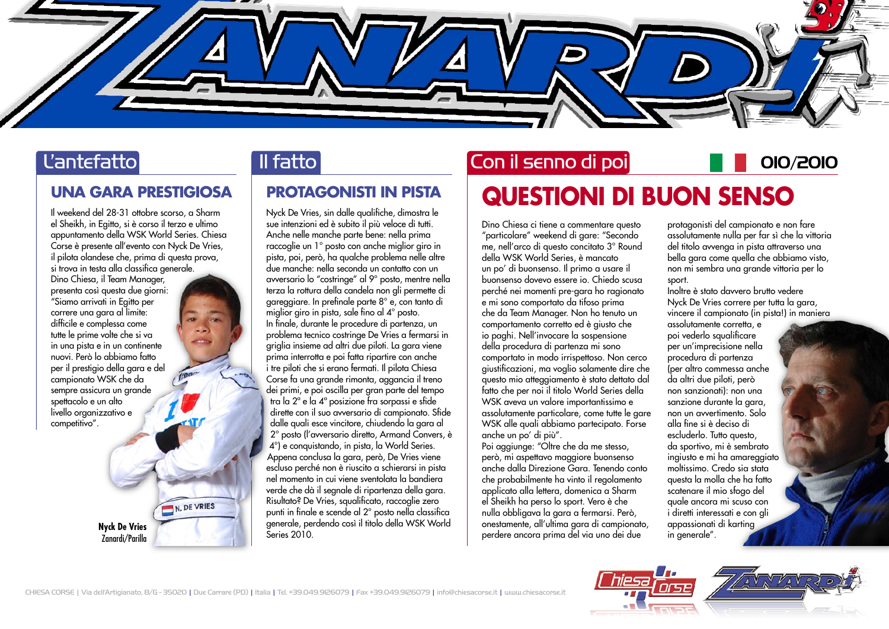

## L'antefatto

#### **UNA GARA PRESTIGIOSA**

Il weekend del 28-31 ottobre scorso, a Sharm el Sheikh, in Egitto, si è corso il terzo e ultimo appuntamento della WSK World Series. Chiesa Corse è presente all'evento con Nyck De Vries, il pilota olandese che, prima di questa prova, si trova in testa alla classifica generale.

Dino Chiesa, il Team Manager, presenta così questa due giorni: "Siamo arrivati in Egitto per correre una gara al limite: difficile e complessa come tutte le prime volte che si va in una pista e in un continente nuovi. Però lo abbiamo fatto per il prestigio della gara e del campionato WSK che da sempre assicura un grande spettacolo e un alto livello organizzativo e competitivo".

Zanardi/Parilla

N. DE VRIES

Il fatto

### **PROTAGONISTI IN PISTA**

Nyck De Vries, sin dalle qualifiche, dimostra le sue intenzioni ed è subito il più veloce di tutti. Anche nelle manche parte bene: nella prima raccoglie un 1° posto con anche miglior giro in pista, poi, però, ha qualche problema nelle altre due manche: nella seconda un contatto con un avversario lo "costringe" al 9° posto, mentre nella terza la rottura della candela non gli permette di gareggiare. In prefinale parte 8° e, con tanto di miglior giro in pista, sale fino al 4° posto. In finale, durante le procedure di partenza, un problema tecnico costringe De Vries a fermarsi in griglia insieme ad altri due piloti. La gara viene prima interrotta e poi fatta ripartire con anche i tre piloti che si erano fermati. Il pilota Chiesa Corse fa una grande rimonta, aggancia il treno dei primi, e poi oscilla per gran parte del tempo tra la 2ª e la 4ª posizione fra sorpassi e sfide dirette con il suo avversario di campionato. Sfide dalle quali esce vincitore, chiudendo la gara al 2° posto (l'avversario diretto, Armand Convers, è 4°) e conquistando, in pista, la World Series. Appena conclusa la gara, però, De Vries viene escluso perché non è riuscito a schierarsi in pista nel momento in cui viene sventolata la bandiera verde che dà il segnale di ripartenza della gara. Risultato? De Vries, squalificato, raccoglie zero punti in finale e scende al 2° posto nella classifica generale, perdendo così il titolo della WSK World Series 2010 **Nyck De Vries** Complonato, appassionation and the series 2010.<br>Tanardi/Parilla Complomental del via uno dei due in generale".

## Con il senno di poi **1010 1010/2010 QUESTIONI DI BUON SENSO**

Dino Chiesa ci tiene a commentare questo "particolare" weekend di gare: "Secondo me, nell'arco di questo concitato 3° Round della WSK World Series, è mancato un po' di buonsenso. Il primo a usare il buonsenso dovevo essere io. Chiedo scusa perché nei momenti pre-gara ho ragionato e mi sono comportato da tifoso prima che da Team Manager. Non ho tenuto un comportamento corretto ed è giusto che io paghi. Nell'invocare la sospensione della procedura di partenza mi sono comportato in modo irrispettoso. Non cerco giustificazioni, ma voglio solamente dire che questo mio atteggiamento è stato dettato dal fatto che per noi il titolo World Series della WSK aveva un valore importantissimo e assolutamente particolare, come tutte le gare WSK alle quali abbiamo partecipato. Forse anche un po' di più".

Poi aggiunge: "Oltre che da me stesso, però, mi aspettavo maggiore buonsenso anche dalla Direzione Gara. Tenendo conto che probabilmente ha vinto il regolamento applicato alla lettera, domenica a Sharm el Sheikh ha perso lo sport. Vero è che nulla obbligava la gara a fermarsi. Però, onestamente, all'ultima gara di campionato,

protagonisti del campionato e non fare assolutamente nulla per far sì che la vittoria del titolo avvenga in pista attraverso una bella gara come quella che abbiamo visto, non mi sembra una grande vittoria per lo sport.

Inoltre è stato davvero brutto vedere Nyck De Vries correre per tutta la gara, vincere il campionato (in pista!) in maniera

assolutamente corretta, e poi vederlo squalificare per un'imprecisione nella procedura di partenza (per altro commessa anche da altri due piloti, però non sanzionati): non una sanzione durante la gara, non un avvertimento. Solo alla fine si è deciso di escluderlo. Tutto questo, da sportivo, mi è sembrato ingiusto e mi ha amareggiato moltissimo. Credo sia stata questa la molla che ha fatto scatenare il mio sfogo del quale ancora mi scuso con i diretti interessati e con gli appassionati di karting